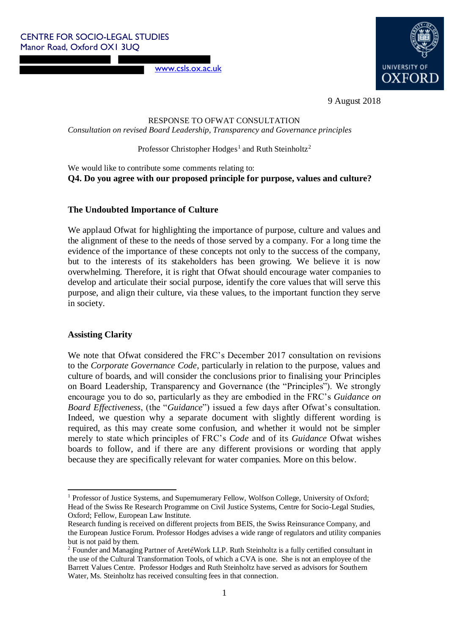[www.csls.ox.ac.uk](http://www.csls.ox.ac.uk/)



9 August 2018

RESPONSE TO OFWAT CONSULTATION

*Consultation on revised Board Leadership, Transparency and Governance principles* 

Professor Christopher Hodges<sup>1</sup> and Ruth Steinholtz<sup>2</sup>

We would like to contribute some comments relating to: **Q4. Do you agree with our proposed principle for purpose, values and culture?** 

## **The Undoubted Importance of Culture**

We applaud Ofwat for highlighting the importance of purpose, culture and values and the alignment of these to the needs of those served by a company. For a long time the evidence of the importance of these concepts not only to the success of the company, but to the interests of its stakeholders has been growing. We believe it is now overwhelming. Therefore, it is right that Ofwat should encourage water companies to develop and articulate their social purpose, identify the core values that will serve this purpose, and align their culture, via these values, to the important function they serve in society.

## **Assisting Clarity**

.

We note that Ofwat considered the FRC's December 2017 consultation on revisions to the *Corporate Governance Code*, particularly in relation to the purpose, values and culture of boards, and will consider the conclusions prior to finalising your Principles on Board Leadership, Transparency and Governance (the "Principles"). We strongly encourage you to do so, particularly as they are embodied in the FRC's *Guidance on Board Effectiveness*, (the "*Guidance*") issued a few days after Ofwat's consultation. Indeed, we question why a separate document with slightly different wording is required, as this may create some confusion, and whether it would not be simpler merely to state which principles of FRC's *Code* and of its *Guidance* Ofwat wishes boards to follow, and if there are any different provisions or wording that apply because they are specifically relevant for water companies. More on this below.

<sup>&</sup>lt;sup>1</sup> Professor of Justice Systems, and Supernumerary Fellow, Wolfson College, University of Oxford; Head of the Swiss Re Research Programme on Civil Justice Systems, Centre for Socio-Legal Studies, Oxford; Fellow, European Law Institute.

Research funding is received on different projects from BEIS, the Swiss Reinsurance Company, and the European Justice Forum. Professor Hodges advises a wide range of regulators and utility companies but is not paid by them.

 $2$  Founder and Managing Partner of AretéWork LLP. Ruth Steinholtz is a fully certified consultant in the use of the Cultural Transformation Tools, of which a CVA is one. She is not an employee of the Barrett Values Centre. Professor Hodges and Ruth Steinholtz have served as advisors for Southern Water, Ms. Steinholtz has received consulting fees in that connection.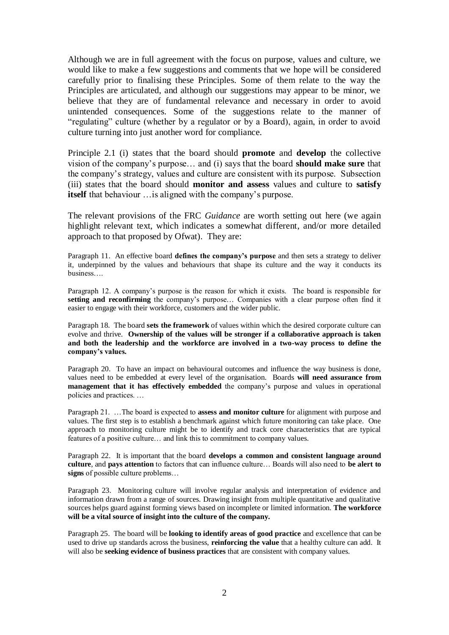Although we are in full agreement with the focus on purpose, values and culture, we would like to make a few suggestions and comments that we hope will be considered carefully prior to finalising these Principles. Some of them relate to the way the Principles are articulated, and although our suggestions may appear to be minor, we believe that they are of fundamental relevance and necessary in order to avoid unintended consequences. Some of the suggestions relate to the manner of "regulating" culture (whether by a regulator or by a Board), again, in order to avoid culture turning into just another word for compliance.

Principle 2.1 (i) states that the board should **promote** and **develop** the collective vision of the company's purpose… and (i) says that the board **should make sure** that the company's strategy, values and culture are consistent with its purpose. Subsection (iii) states that the board should **monitor and assess** values and culture to **satisfy itself** that behaviour …is aligned with the company's purpose.

The relevant provisions of the FRC *Guidance* are worth setting out here (we again highlight relevant text, which indicates a somewhat different, and/or more detailed approach to that proposed by Ofwat). They are:

Paragraph 11. An effective board **defines the company's purpose** and then sets a strategy to deliver it, underpinned by the values and behaviours that shape its culture and the way it conducts its business….

Paragraph 12. A company's purpose is the reason for which it exists. The board is responsible for **setting and reconfirming** the company's purpose… Companies with a clear purpose often find it easier to engage with their workforce, customers and the wider public.

Paragraph 18. The board **sets the framework** of values within which the desired corporate culture can evolve and thrive. **Ownership of the values will be stronger if a collaborative approach is taken and both the leadership and the workforce are involved in a two-way process to define the company's values.**

Paragraph 20. To have an impact on behavioural outcomes and influence the way business is done, values need to be embedded at every level of the organisation. Boards **will need assurance from management that it has effectively embedded** the company's purpose and values in operational policies and practices. …

Paragraph 21. …The board is expected to **assess and monitor culture** for alignment with purpose and values. The first step is to establish a benchmark against which future monitoring can take place. One approach to monitoring culture might be to identify and track core characteristics that are typical features of a positive culture… and link this to commitment to company values.

Paragraph 22. It is important that the board **develops a common and consistent language around culture**, and **pays attention** to factors that can influence culture… Boards will also need to **be alert to signs** of possible culture problems…

Paragraph 23. Monitoring culture will involve regular analysis and interpretation of evidence and information drawn from a range of sources. Drawing insight from multiple quantitative and qualitative sources helps guard against forming views based on incomplete or limited information. **The workforce will be a vital source of insight into the culture of the company.**

Paragraph 25. The board will be **looking to identify areas of good practice** and excellence that can be used to drive up standards across the business, **reinforcing the value** that a healthy culture can add. It will also be **seeking evidence of business practices** that are consistent with company values.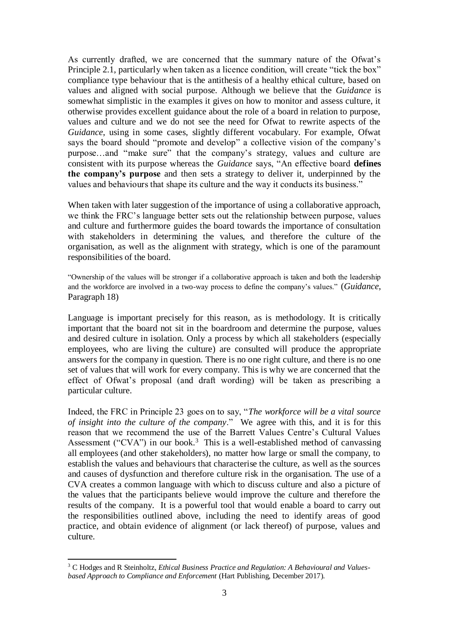As currently drafted, we are concerned that the summary nature of the Ofwat's Principle 2.1, particularly when taken as a licence condition, will create "tick the box" compliance type behaviour that is the antithesis of a healthy ethical culture, based on values and aligned with social purpose. Although we believe that the *Guidance* is somewhat simplistic in the examples it gives on how to monitor and assess culture, it otherwise provides excellent guidance about the role of a board in relation to purpose, values and culture and we do not see the need for Ofwat to rewrite aspects of the *Guidance*, using in some cases, slightly different vocabulary. For example, Ofwat says the board should "promote and develop" a collective vision of the company's purpose…and "make sure" that the company's strategy, values and culture are consistent with its purpose whereas the *Guidance* says, "An effective board **defines the company's purpose** and then sets a strategy to deliver it, underpinned by the values and behaviours that shape its culture and the way it conducts its business."

When taken with later suggestion of the importance of using a collaborative approach, we think the FRC's language better sets out the relationship between purpose, values and culture and furthermore guides the board towards the importance of consultation with stakeholders in determining the values, and therefore the culture of the organisation, as well as the alignment with strategy, which is one of the paramount responsibilities of the board.

"Ownership of the values will be stronger if a collaborative approach is taken and both the leadership and the workforce are involved in a two-way process to define the company's values." (*Guidance*, Paragraph 18)

Language is important precisely for this reason, as is methodology. It is critically important that the board not sit in the boardroom and determine the purpose, values and desired culture in isolation. Only a process by which all stakeholders (especially employees, who are living the culture) are consulted will produce the appropriate answers for the company in question. There is no one right culture, and there is no one set of values that will work for every company. This is why we are concerned that the effect of Ofwat's proposal (and draft wording) will be taken as prescribing a particular culture.

Indeed, the FRC in Principle 23 goes on to say, "*The workforce will be a vital source of insight into the culture of the company*." We agree with this, and it is for this reason that we recommend the use of the Barrett Values Centre's Cultural Values Assessment ("CVA") in our book.<sup>3</sup> This is a well-established method of canvassing all employees (and other stakeholders), no matter how large or small the company, to establish the values and behaviours that characterise the culture, as well as the sources and causes of dysfunction and therefore culture risk in the organisation. The use of a CVA creates a common language with which to discuss culture and also a picture of the values that the participants believe would improve the culture and therefore the results of the company. It is a powerful tool that would enable a board to carry out the responsibilities outlined above, including the need to identify areas of good practice, and obtain evidence of alignment (or lack thereof) of purpose, values and culture.

1

<sup>3</sup> C Hodges and R Steinholtz, *Ethical Business Practice and Regulation: A Behavioural and Valuesbased Approach to Compliance and Enforcement* (Hart Publishing, December 2017).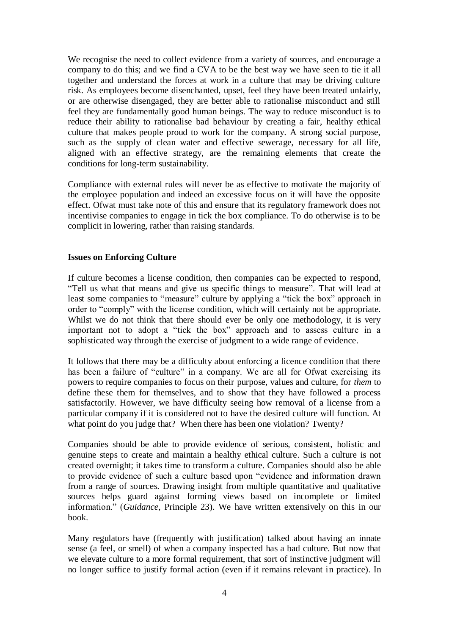We recognise the need to collect evidence from a variety of sources, and encourage a company to do this; and we find a CVA to be the best way we have seen to tie it all together and understand the forces at work in a culture that may be driving culture risk. As employees become disenchanted, upset, feel they have been treated unfairly, or are otherwise disengaged, they are better able to rationalise misconduct and still feel they are fundamentally good human beings. The way to reduce misconduct is to reduce their ability to rationalise bad behaviour by creating a fair, healthy ethical culture that makes people proud to work for the company. A strong social purpose, such as the supply of clean water and effective sewerage, necessary for all life, aligned with an effective strategy, are the remaining elements that create the conditions for long-term sustainability.

Compliance with external rules will never be as effective to motivate the majority of the employee population and indeed an excessive focus on it will have the opposite effect. Ofwat must take note of this and ensure that its regulatory framework does not incentivise companies to engage in tick the box compliance. To do otherwise is to be complicit in lowering, rather than raising standards.

## **Issues on Enforcing Culture**

If culture becomes a license condition, then companies can be expected to respond, "Tell us what that means and give us specific things to measure". That will lead at least some companies to "measure" culture by applying a "tick the box" approach in order to "comply" with the license condition, which will certainly not be appropriate. Whilst we do not think that there should ever be only one methodology, it is very important not to adopt a "tick the box" approach and to assess culture in a sophisticated way through the exercise of judgment to a wide range of evidence.

It follows that there may be a difficulty about enforcing a licence condition that there has been a failure of "culture" in a company. We are all for Ofwat exercising its powers to require companies to focus on their purpose, values and culture, for *them* to define these them for themselves, and to show that they have followed a process satisfactorily. However, we have difficulty seeing how removal of a license from a particular company if it is considered not to have the desired culture will function. At what point do you judge that? When there has been one violation? Twenty?

Companies should be able to provide evidence of serious, consistent, holistic and genuine steps to create and maintain a healthy ethical culture. Such a culture is not created overnight; it takes time to transform a culture. Companies should also be able to provide evidence of such a culture based upon "evidence and information drawn from a range of sources. Drawing insight from multiple quantitative and qualitative sources helps guard against forming views based on incomplete or limited information." (*Guidance*, Principle 23). We have written extensively on this in our book.

Many regulators have (frequently with justification) talked about having an innate sense (a feel, or smell) of when a company inspected has a bad culture. But now that we elevate culture to a more formal requirement, that sort of instinctive judgment will no longer suffice to justify formal action (even if it remains relevant in practice). In